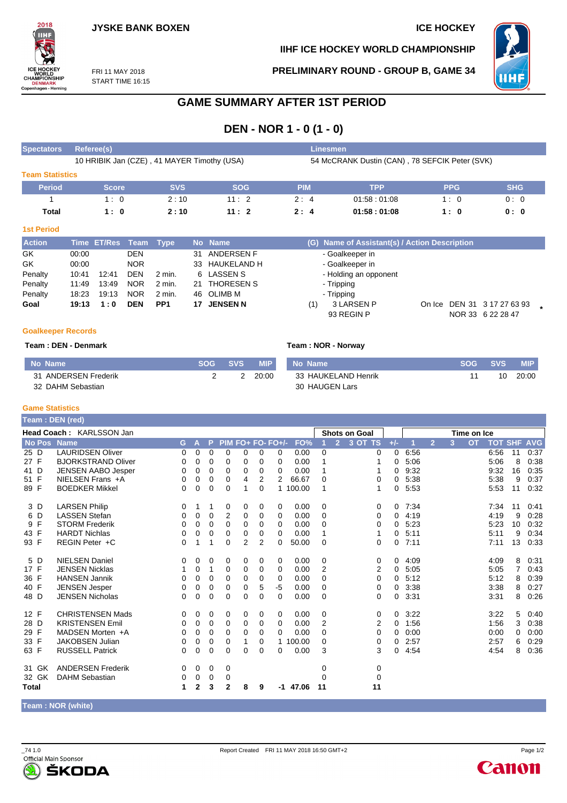

**IIHF ICE HOCKEY WORLD CHAMPIONSHIP**

**PRELIMINARY ROUND - GROUP B, GAME 34**



FRI 11 MAY 2018 START TIME 16:15

## **GAME SUMMARY AFTER 1ST PERIOD**

## **DEN - NOR 1 - 0 (1 - 0)**

| <b>Spectators</b>      | Referee(s)                                  |            |            |                                                | Linesmen    |            |            |  |  |  |  |  |  |
|------------------------|---------------------------------------------|------------|------------|------------------------------------------------|-------------|------------|------------|--|--|--|--|--|--|
|                        | 10 HRIBIK Jan (CZE), 41 MAYER Timothy (USA) |            |            | 54 McCRANK Dustin (CAN), 78 SEFCIK Peter (SVK) |             |            |            |  |  |  |  |  |  |
| <b>Team Statistics</b> |                                             |            |            |                                                |             |            |            |  |  |  |  |  |  |
| <b>Period</b>          | <b>Score</b>                                | <b>SVS</b> | <b>SOG</b> | <b>PIM</b>                                     | <b>TPP</b>  | <b>PPG</b> | <b>SHG</b> |  |  |  |  |  |  |
|                        | 1:0                                         | 2:10       | 11:2       | 2:4                                            | 01.58:01.08 | 10         | 0:0        |  |  |  |  |  |  |
| Total                  | 1:0                                         | 2:10       | 11:2       | 2:4                                            | 01:58:01:08 | 1:0        | 0:0        |  |  |  |  |  |  |

#### **1st Period**

| <b>Action</b> |       | Time ET/Res Team Type |            |                 |     | No Name         |     | (G) Name of Assistant(s) / Action Description |  |                             |  |
|---------------|-------|-----------------------|------------|-----------------|-----|-----------------|-----|-----------------------------------------------|--|-----------------------------|--|
| GK            | 00:00 |                       | <b>DEN</b> |                 | 31  | ANDERSEN F      |     | - Goalkeeper in                               |  |                             |  |
| GK            | 00:00 |                       | <b>NOR</b> |                 |     | 33 HAUKELAND H  |     | - Goalkeeper in                               |  |                             |  |
| Penalty       | 10:41 | 12:41                 | <b>DEN</b> | 2 min.          |     | 6 LASSEN S      |     | - Holding an opponent                         |  |                             |  |
| Penalty       | 11:49 | 13:49                 | <b>NOR</b> | $2$ min.        |     | 21 THORESEN S   |     | - Tripping                                    |  |                             |  |
| Penalty       | 18:23 | 19:13                 | <b>NOR</b> | 2 min.          |     | 46 OLIMB M      |     | - Tripping                                    |  |                             |  |
| Goal          | 19:13 | 1:0                   | <b>DEN</b> | PP <sub>1</sub> | 17. | <b>JENSEN N</b> | (1) | 3 LARSEN P                                    |  | On Ice DEN 31 3 17 27 63 93 |  |
|               |       |                       |            |                 |     |                 |     | 93 REGIN P                                    |  | NOR 33 6 22 28 47           |  |

#### **Goalkeeper Records**

#### **Team : DEN - Denmark Team : NOR - Norway**

| No Name              | <b>SOG</b> | SVS. | <b>MIP</b> | No Name             | <b>SOG</b> | SVS. | <b>MIP</b> |
|----------------------|------------|------|------------|---------------------|------------|------|------------|
| 31 ANDERSEN Frederik |            |      | 20:00      | 33 HAUKELAND Henrik |            | 10   | 20:00      |
| 32 DAHM Sebastian    |            |      |            | 30 HAUGEN Lars      |            |      |            |

#### **Game Statistics**

|              |               | <b>Team : DEN (red)</b>   |    |   |          |                   |             |                |             |          |                      |                |             |             |      |                |   |           |                |    |            |
|--------------|---------------|---------------------------|----|---|----------|-------------------|-------------|----------------|-------------|----------|----------------------|----------------|-------------|-------------|------|----------------|---|-----------|----------------|----|------------|
|              |               | Head Coach: KARLSSON Jan  |    |   |          |                   |             |                |             |          | <b>Shots on Goal</b> |                |             | Time on Ice |      |                |   |           |                |    |            |
|              | <b>No Pos</b> | <b>Name</b>               | G. | A | P        | PIM FO+ FO- FO+/- |             |                |             | FO%      |                      | $\overline{2}$ | 3 OT TS     | $+/-$       |      | $\overline{2}$ | 3 | <b>OT</b> | <b>TOT SHF</b> |    | <b>AVG</b> |
| 25 D         |               | <b>LAURIDSEN Oliver</b>   | 0  | 0 | $\Omega$ | $\Omega$          | $\Omega$    | 0              | $\Omega$    | 0.00     | 0                    |                | 0           | $\Omega$    | 6:56 |                |   |           | 6:56           | 11 | 0:37       |
| 27 F         |               | <b>BJORKSTRAND Oliver</b> | 0  | 0 | $\Omega$ | 0                 | 0           | 0              | 0           | 0.00     |                      |                |             | 0           | 5:06 |                |   |           | 5:06           | 8  | 0:38       |
| 41 D         |               | <b>JENSEN AABO Jesper</b> | 0  | 0 | 0        | $\Omega$          | $\mathbf 0$ | 0              | 0           | 0.00     | 1                    |                |             | 0           | 9:32 |                |   |           | 9:32           | 16 | 0:35       |
| 51 F         |               | NIELSEN Frans +A          | 0  | 0 | 0        | 0                 | 4           | 2              | 2           | 66.67    | 0                    |                | 0           | 0           | 5:38 |                |   |           | 5:38           | 9  | 0:37       |
| 89 F         |               | <b>BOEDKER Mikkel</b>     | 0  | 0 | $\Omega$ | $\Omega$          | 1           | $\Omega$       |             | 1 100.00 | 1                    |                |             | 0           | 5:53 |                |   |           | 5:53           | 11 | 0:32       |
|              | 3 D           | <b>LARSEN Philip</b>      | 0  | 1 | 1        | 0                 | 0           | 0              | 0           | 0.00     | 0                    |                | $\mathbf 0$ | 0           | 7:34 |                |   |           | 7:34           | 11 | 0:41       |
|              | 6 D           | <b>LASSEN Stefan</b>      | 0  | 0 | 0        | $\overline{2}$    | 0           | 0              | 0           | 0.00     | 0                    |                | 0           | 0           | 4:19 |                |   |           | 4:19           | 9  | 0:28       |
|              | 9 F           | <b>STORM Frederik</b>     | 0  | 0 | $\Omega$ | $\Omega$          | $\Omega$    | 0              | $\Omega$    | 0.00     | 0                    |                | 0           | 0           | 5:23 |                |   |           | 5:23           | 10 | 0:32       |
| 43 F         |               | <b>HARDT Nichlas</b>      | 0  | 0 | 0        | $\Omega$          | 0           | 0              | $\Omega$    | 0.00     | 1                    |                |             | 0           | 5:11 |                |   |           | 5:11           | 9  | 0:34       |
| 93 F         |               | REGIN Peter +C            | 0  | 1 | 1        | 0                 | 2           | $\overline{2}$ | $\Omega$    | 50.00    | 0                    |                | 0           | 0           | 7:11 |                |   |           | 7:11           | 13 | 0:33       |
|              | 5 D           | <b>NIELSEN Daniel</b>     | 0  | 0 | 0        | 0                 | 0           | 0              | $\mathbf 0$ | 0.00     | 0                    |                | 0           | 0           | 4:09 |                |   |           | 4:09           | 8  | 0:31       |
| 17 F         |               | <b>JENSEN Nicklas</b>     |    | 0 | 1        | 0                 | 0           | 0              | 0           | 0.00     | $\overline{2}$       |                | 2           | 0           | 5:05 |                |   |           | 5:05           | 7  | 0:43       |
| 36 F         |               | <b>HANSEN Jannik</b>      | 0  | 0 | $\Omega$ | $\Omega$          | 0           | 0              | 0           | 0.00     | $\Omega$             |                | 0           | 0           | 5:12 |                |   |           | 5:12           | 8  | 0:39       |
| 40 F         |               | <b>JENSEN Jesper</b>      | 0  | 0 | 0        | $\Omega$          | $\Omega$    | 5              | $-5$        | 0.00     | 0                    |                | 0           | 0           | 3:38 |                |   |           | 3:38           | 8  | 0:27       |
| 48 D         |               | <b>JENSEN Nicholas</b>    | 0  | 0 | $\Omega$ | $\Omega$          | $\Omega$    | $\Omega$       | $\Omega$    | 0.00     | $\Omega$             |                | 0           | 0           | 3:31 |                |   |           | 3:31           | 8  | 0:26       |
| 12 F         |               | <b>CHRISTENSEN Mads</b>   | 0  | 0 | 0        | 0                 | 0           | 0              | $\mathbf 0$ | 0.00     | 0                    |                | 0           | 0           | 3:22 |                |   |           | 3:22           | 5  | 0:40       |
| 28 D         |               | <b>KRISTENSEN Emil</b>    | 0  | 0 | $\Omega$ | $\Omega$          | $\Omega$    | 0              | 0           | 0.00     | 2                    |                | 2           | 0           | 1:56 |                |   |           | 1:56           | 3  | 0:38       |
| 29 F         |               | MADSEN Morten +A          | 0  | 0 | $\Omega$ | $\Omega$          | 0           | 0              | $\Omega$    | 0.00     | 0                    |                | 0           | 0           | 0:00 |                |   |           | 0:00           | 0  | 0:00       |
| 33 F         |               | <b>JAKOBSEN Julian</b>    | 0  | 0 | 0        | 0                 |             | 0              | 1           | 100.00   | $\Omega$             |                | 0           | 0           | 2:57 |                |   |           | 2:57           | 6  | 0:29       |
| 63 F         |               | <b>RUSSELL Patrick</b>    | 0  | 0 | $\Omega$ | $\Omega$          | $\Omega$    | 0              | $\Omega$    | 0.00     | 3                    |                | 3           | 0           | 4.54 |                |   |           | 4:54           | 8  | 0:36       |
|              | 31 GK         | <b>ANDERSEN Frederik</b>  | 0  | 0 | 0        | 0                 |             |                |             |          | 0                    |                | 0           |             |      |                |   |           |                |    |            |
|              | 32 GK         | <b>DAHM Sebastian</b>     | 0  | 0 | 0        | 0                 |             |                |             |          | $\Omega$             |                | 0           |             |      |                |   |           |                |    |            |
| <b>Total</b> |               |                           | 1  | 2 | 3        | $\mathbf{2}$      | 8           | 9              | -1          | 47.06    | 11                   |                | 11          |             |      |                |   |           |                |    |            |

**Team : NOR (white)**